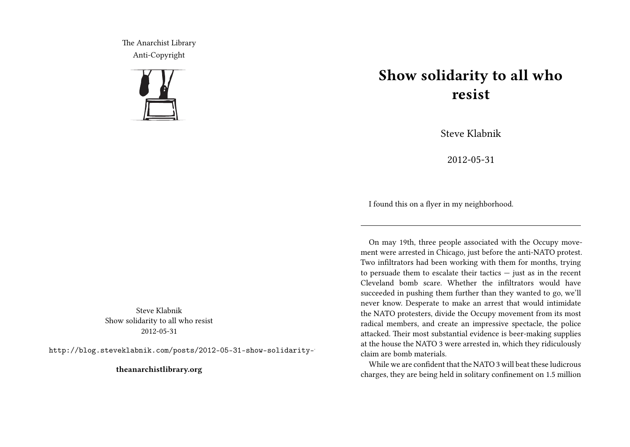The Anarchist Library Anti-Copyright



Steve Klabnik Show solidarity to all who resist 2012-05-31

http://blog.steveklabnik.com/posts/2012-05-31-show-solidarity-

**theanarchistlibrary.org**

## **Show solidarity to all who resist**

Steve Klabnik

2012-05-31

I found this on a flyer in my neighborhood.

On may 19th, three people associated with the Occupy movement were arrested in Chicago, just before the anti-NATO protest. Two infiltrators had been working with them for months, trying to persuade them to escalate their tactics — just as in the recent Cleveland bomb scare. Whether the infiltrators would have succeeded in pushing them further than they wanted to go, we'll never know. Desperate to make an arrest that would intimidate the NATO protesters, divide the Occupy movement from its most radical members, and create an impressive spectacle, the police attacked. Their most substantial evidence is beer-making supplies at the house the NATO 3 were arrested in, which they ridiculously claim are bomb materials.

While we are confident that the NATO 3 will beat these ludicrous charges, they are being held in solitary confinement on 1.5 million